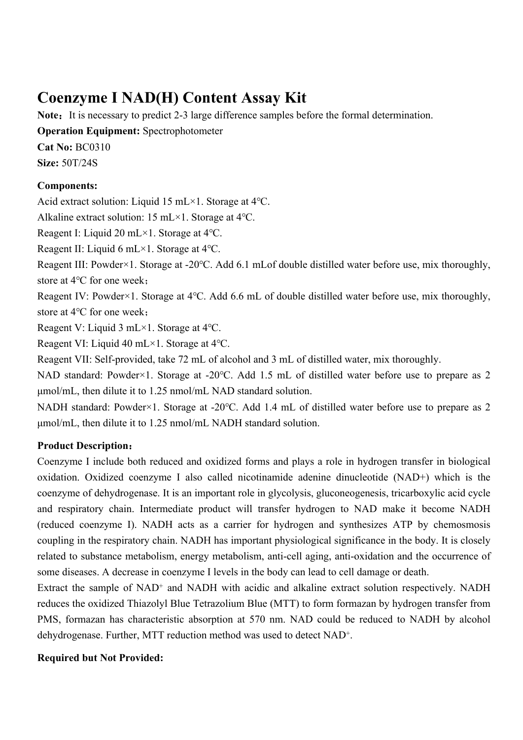# **Coenzyme Ⅰ NAD(H) Content Assay Kit**

**Note:**It is necessary to predict 2-3 large difference samples before the formal determination.

**Operation Equipment:** Spectrophotometer

**Cat No:** BC0310

**Size:** 50T/24S

# **Components:**

Acid extract solution: Liquid 15 mL×1. Storage at 4℃.

Alkaline extract solution: 15 mL×1. Storage at 4℃.

Reagent I: Liquid 20 mL×1. Storage at 4℃.

Reagent II: Liquid 6 mL×1. Storage at 4℃.

Reagent III: Powder×1. Storage at -20℃. Add 6.1 mLof double distilled water before use, mix thoroughly, store at 4<sup>o</sup>C for one week:

Reagent IV: Powder×1. Storage at 4℃. Add 6.6 mL of double distilled water before use, mix thoroughly, store at 4℃ for one week;

Reagent V: Liquid 3 mL×1. Storage at 4℃.

Reagent VI: Liquid 40 mL×1. Storage at 4℃.

Reagent VII: Self-provided, take 72 mL of alcohol and 3 mL of distilled water, mix thoroughly.

NAD standard: Powder×1. Storage at -20℃. Add 1.5 mL of distilled water before use to prepare as 2 μmol/mL, then dilute it to 1.25 nmol/mL NAD standard solution.

NADH standard: Powder×1. Storage at -20℃. Add 1.4 mL of distilled water before use to prepare as 2 μmol/mL, then dilute it to 1.25 nmol/mL NADH standard solution.

# **Product Description:**

Coenzyme I include both reduced and oxidized forms and plays a role in hydrogen transfer in biological oxidation. Oxidized coenzyme I also called nicotinamide adenine dinucleotide (NAD+) which is the coenzyme of dehydrogenase. It is an important role in glycolysis, gluconeogenesis, tricarboxylic acid cycle and respiratory chain. Intermediate product will transfer hydrogen to NAD make it become NADH (reduced coenzyme I). NADH acts as a carrier for hydrogen and synthesizes ATP by chemosmosis coupling in the respiratory chain. NADH has important physiological significance in the body. It is closely related to substance metabolism, energy metabolism, anti-cell aging, anti-oxidation and the occurrence of some diseases. A decrease in coenzyme I levels in the body can lead to cell damage or death.

Extract the sample of NAD<sup>+</sup> and NADH with acidic and alkaline extract solution respectively. NADH reduces the oxidized Thiazolyl Blue Tetrazolium Blue (MTT) to form formazan by hydrogen transfer from PMS, formazan has characteristic absorption at 570 nm. NAD could be reduced to NADH by alcohol dehydrogenase. Further, MTT reduction method was used to detect NAD<sup>+</sup>.

# **Required but Not Provided:**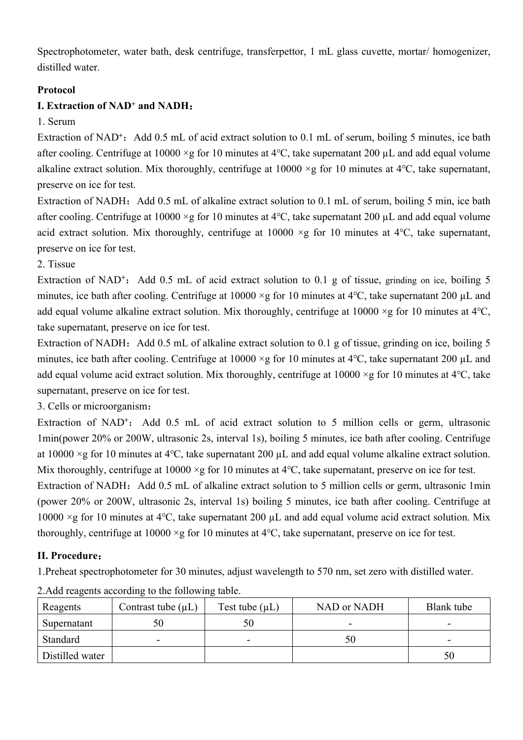Spectrophotometer, water bath, desk centrifuge, transferpettor, 1 mL glass cuvette, mortar/ homogenizer, distilled water.

## **Protocol**

# **I. Extraction of NAD<sup>+</sup> and NADH:**

## 1. Serum

Extraction of NAD<sup>+</sup>: Add 0.5 mL of acid extract solution to 0.1 mL of serum, boiling 5 minutes, ice bath after cooling. Centrifuge at 10000 ×g for 10 minutes at 4℃, take supernatant 200 µL and add equal volume alkaline extract solution. Mix thoroughly, centrifuge at 10000 ×g for 10 minutes at 4℃, take supernatant, preserve on ice for test.

Extraction of NADH: Add 0.5 mL of alkaline extract solution to 0.1 mL of serum, boiling 5 min, ice bath after cooling. Centrifuge at 10000 ×g for 10 minutes at 4℃, take supernatant 200 µL and add equal volume acid extract solution. Mix thoroughly, centrifuge at 10000 ×g for 10 minutes at 4℃, take supernatant, preserve on ice for test.

## 2. Tissue

Extraction of NAD<sup>+</sup>: Add 0.5 mL of acid extract solution to 0.1 g of tissue, grinding on ice, boiling 5 minutes, ice bath after cooling. Centrifuge at 10000 ×g for 10 minutes at 4℃, take supernatant 200 µL and add equal volume alkaline extract solution. Mix thoroughly, centrifuge at  $10000 \times g$  for 10 minutes at 4°C, take supernatant, preserve on ice for test.

Extraction of NADH: Add 0.5 mL of alkaline extract solution to 0.1 g of tissue, grinding on ice, boiling 5 minutes, ice bath after cooling. Centrifuge at 10000 ×g for 10 minutes at 4℃, take supernatant 200 µL and add equal volume acid extract solution. Mix thoroughly, centrifuge at 10000 ×g for 10 minutes at 4℃, take supernatant, preserve on ice for test.

3. Cells or microorganism:

Extraction of NAD**<sup>+</sup>**: Add 0.5 mL of acid extract solution to 5 million cells or germ, ultrasonic 1min(power 20% or 200W, ultrasonic 2s, interval 1s), boiling 5 minutes, ice bath after cooling. Centrifuge at 10000 ×g for 10 minutes at 4℃, take supernatant 200 µL and add equal volume alkaline extract solution. Mix thoroughly, centrifuge at 10000 ×g for 10 minutes at 4 °C, take supernatant, preserve on ice for test.

Extraction of NADH: Add 0.5 mL of alkaline extract solution to 5 million cells or germ, ultrasonic 1min (power 20% or 200W, ultrasonic 2s, interval 1s) boiling 5 minutes, ice bath after cooling. Centrifuge at 10000 ×g for 10 minutes at 4℃, take supernatant 200 µL and add equal volume acid extract solution. Mix thoroughly, centrifuge at 10000 ×g for 10 minutes at 4℃, take supernatant, preserve on ice for test.

# **II. Procedure:**

1.Preheat spectrophotometer for 30 minutes, adjust wavelength to 570 nm, set zero with distilled water.

| Reagents        | Contrast tube $(\mu L)$ | Test tube $(\mu L)$ | NAD or NADH | Blank tube |
|-----------------|-------------------------|---------------------|-------------|------------|
| Supernatant     | 50                      | 50                  |             |            |
| Standard        |                         |                     | 50          |            |
| Distilled water |                         |                     |             | 50         |

2.Add reagents according to the following table.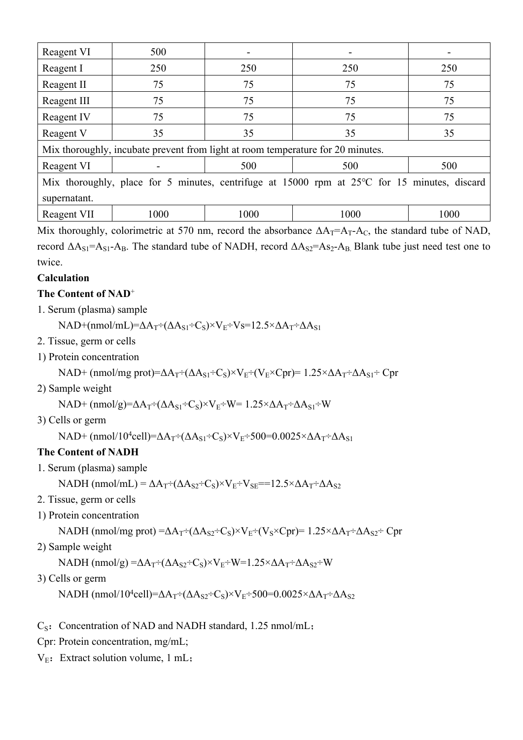| Reagent VI                                                                                               | 500  |      |      |      |  |
|----------------------------------------------------------------------------------------------------------|------|------|------|------|--|
|                                                                                                          |      |      |      |      |  |
| Reagent I                                                                                                | 250  | 250  | 250  | 250  |  |
| Reagent II                                                                                               | 75   | 75   | 75   | 75   |  |
| Reagent III                                                                                              | 75   | 75   | 75   | 75   |  |
| Reagent IV                                                                                               | 75   | 75   | 75   | 75   |  |
| Reagent V                                                                                                | 35   | 35   | 35   | 35   |  |
| Mix thoroughly, incubate prevent from light at room temperature for 20 minutes.                          |      |      |      |      |  |
| Reagent VI                                                                                               |      | 500  | 500  | 500  |  |
| Mix thoroughly, place for 5 minutes, centrifuge at $15000$ rpm at $25^{\circ}$ C for 15 minutes, discard |      |      |      |      |  |
| supernatant.                                                                                             |      |      |      |      |  |
| Reagent VII                                                                                              | 1000 | 1000 | 1000 | 1000 |  |

Mix thoroughly, colorimetric at 570 nm, record the absorbance  $\Delta A_T = A_T - A_C$ , the standard tube of NAD, record  $\Delta A_{S1} = A_{S1} - A_B$ . The standard tube of NADH, record  $\Delta A_{S2} = A_{S2} - A_B$ . Blank tube just need test one to twice.

#### **Calculation**

#### **The Content of NAD**<sup>+</sup>

1. Serum (plasma) sample

 $NAD+(nmol/mL)=\Delta A_T \div (\Delta A_{S1} \div C_S) \times V_E \div V_S = 12.5 \times \Delta A_T \div \Delta A_{S1}$ 

- 2. Tissue, germ or cells
- 1) Protein concentration

NAD+ (nmol/mg prot)= $\Delta A_T \div (\Delta A_{S1} \div C_S) \times V_E \div (V_E \times Cpr) = 1.25 \times \Delta A_T \div \Delta A_{S1} \div Cpr$ 

2) Sample weight

$$
NAD+ (nmol/g)=\Delta A_T \div (\Delta A_{S1} \div C_S) \times V_E \div W = 1.25 \times \Delta A_T \div \Delta A_{S1} \div W
$$

3) Cells or germ

NAD+ (nmol/10<sup>4</sup>cell)= $\Delta A_T \div (\Delta A_{S1} \div C_S) \times V_E \div 500 = 0.0025 \times \Delta A_T \div \Delta A_{S1}$ 

## **The Content of NADH**

1. Serum (plasma) sample

NADH (nmol/mL) =  $\Delta A_T \div (\Delta A_{S2} \div C_S) \times V_E \div V_{SE} = 12.5 \times \Delta A_T \div \Delta A_{S2}$ 

- 2. Tissue, germ or cells
- 1) Protein concentration

NADH (nmol/mg prot) = $\Delta A_T \div (\Delta A_{S2} \div C_S) \times V_E \div (V_S \times Cpr) = 1.25 \times \Delta A_T \div \Delta A_{S2} \div Cpr$ 

2) Sample weight

NADH  $(nmol/g) = \Delta A_T \div (\Delta A_{S2} \div C_S) \times V_E \div W = 1.25 \times \Delta A_T \div \Delta A_{S2} \div W$ 

3) Cells or germ

NADH (nmol/10<sup>4</sup>cell)= $\Delta A_T \div (\Delta A_{S2} \div C_S) \times V_E \div 500 = 0.0025 \times \Delta A_T \div \Delta A_{S2}$ 

 $C_s$ : Concentration of NAD and NADH standard, 1.25 nmol/mL;

Cpr: Protein concentration, mg/mL;

 $V_E$ : Extract solution volume, 1 mL;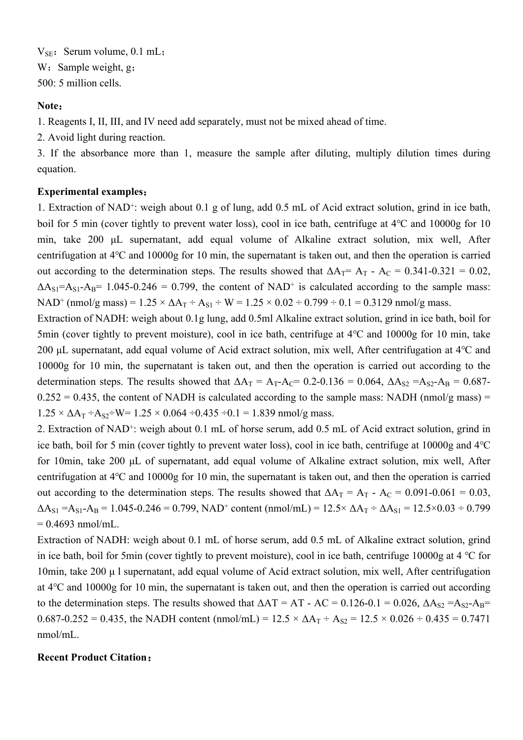$V_{SE}$ : Serum volume, 0.1 mL; W: Sample weight, g; 500: 5 million cells.

#### **Note:**

1. Reagents I, II, III, and IV need add separately, must not be mixed ahead of time.

2. Avoid light during reaction.

3. If the absorbance more than 1, measure the sample after diluting, multiply dilution times during equation.

## **Experimental examples:**

1. Extraction of NAD<sup>+</sup>: weigh about 0.1 g of lung, add 0.5 mL of Acid extract solution, grind in ice bath, boil for 5 min (cover tightly to prevent water loss), cool in ice bath, centrifuge at 4℃ and 10000g for 10 min, take 200 μL supernatant, add equal volume of Alkaline extract solution, mix well, After centrifugation at 4℃ and 10000g for 10 min, the supernatant is taken out, and then the operation is carried out according to the determination steps. The results showed that  $\Delta A_T = A_T - A_C = 0.341 - 0.321 = 0.02$ ,  $\Delta A_{\rm SI} = A_{\rm SI} - A_B = 1.045 - 0.246 = 0.799$ , the content of NAD<sup>+</sup> is calculated according to the sample mass:  $NAD^+$  (nmol/g mass) =  $1.25 \times \Delta A_T \div A_{S1} \div W = 1.25 \times 0.02 \div 0.799 \div 0.1 = 0.3129$  nmol/g mass.

Extraction of NADH: weigh about 0.1g lung, add 0.5ml Alkaline extract solution, grind in ice bath, boil for 5min (cover tightly to prevent moisture), cool in ice bath, centrifuge at 4℃ and 10000g for 10 min, take 200 μL supernatant, add equal volume of Acid extract solution, mix well, After centrifugation at 4℃ and 10000g for 10 min, the supernatant is taken out, and then the operation is carried out according to the determination steps. The results showed that  $\Delta A_T = A_T - A_C = 0.2 - 0.136 = 0.064$ ,  $\Delta A_{S2} = A_{S2} - A_B = 0.687 - 0.064$  $0.252 = 0.435$ , the content of NADH is calculated according to the sample mass: NADH (nmol/g mass) =  $1.25 \times \Delta A_T \div A_{S2} \div W = 1.25 \times 0.064 \div 0.435 \div 0.1 = 1.839$  nmol/g mass.

2. Extraction of NAD<sup>+</sup>: weigh about 0.1 mL of horse serum, add 0.5 mL of Acid extract solution, grind in ice bath, boil for 5 min (cover tightly to prevent water loss), cool in ice bath, centrifuge at 10000g and 4℃ for 10min, take 200 μL of supernatant, add equal volume of Alkaline extract solution, mix well, After centrifugation at 4℃ and 10000g for 10 min, the supernatant is taken out, and then the operation is carried out according to the determination steps. The results showed that  $\Delta A_T = A_T - A_C = 0.091 - 0.061 = 0.03$ ,  $\Delta A_{S1} = A_{S1} - A_B = 1.045 - 0.246 = 0.799$ ,  $NAD^+$  content (nmol/mL) =  $12.5 \times \Delta A_T \div \Delta A_{S1} = 12.5 \times 0.03 \div 0.799$  $= 0.4693$  nmol/mL.

Extraction of NADH: weigh about 0.1 mL of horse serum, add 0.5 mL of Alkaline extract solution, grind in ice bath, boil for 5min (cover tightly to prevent moisture), cool in ice bath, centrifuge 10000g at 4 ℃ for 10min, take 200 μ l supernatant, add equal volume of Acid extract solution, mix well, After centrifugation at 4℃ and 10000g for 10 min, the supernatant is taken out, and then the operation is carried out according to the determination steps. The results showed that  $\Delta AT = AT - AC = 0.126 - 0.1 = 0.026$ ,  $\Delta A_{S2} = A_{S2} - A_B =$  $0.687 - 0.252 = 0.435$ , the NADH content (nmol/mL) =  $12.5 \times \Delta A_T \div A_{S2} = 12.5 \times 0.026 \div 0.435 = 0.7471$ nmol/mL.

#### **Recent Product Citation:**